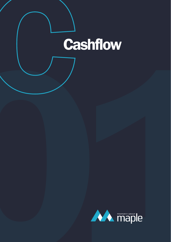## **Cashflow**

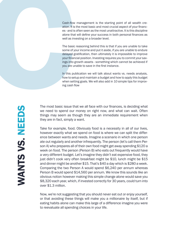Cash-flow management is the starting point of all wealth cre ation. It is the most basic and most crucial aspect of your financ es - and is often seen as the most unattractive. It is this discipline alone that will define your success in both personal finances as well as investing on a broader level.

The basic reasoning behind this is that if you are unable to take some of your income and put it aside, if you are unable to endure delayed gratification, then ultimately it is impossible to improve your financial position. Investing requires you to commit your sav ings into growth assets - something which cannot be achieved if you are unable to save in the first instance.

In this publication we will talk about wants vs. needs analysis, how to setup and maintain a budget and how to apply this budget when setting goals. We will also add in 10 simple tips for improv ing cash flow

WANTS VS. NEEDS

Cash-flow<br>ation. It is<br>se - and is<br>alone that<br>well as inv<br>The basic<br>some of y<br>delayed g<br>your finance<br>ings into going the star of<br>the set of the set of the set of the set of the set of<br>the set of the set of the set of the s The most basic issue that we all face with our finances, is deciding what we need to spend our money on right now, and what can wait. Often things may seem as though they are an immediate requirement when they are in fact, simply a want.

> Take for example, food. Obviously food is a necessity in all of our lives, however exactly what we spend on food is where we can split the difference between wants and needs. Imagine a scenario in which one person ate out regularly and another infrequently. The person (let's call them Person A) who prepares all of their own food might get away spending \$120 a week on food. The person (Person B) who eats out frequently would have a very different budget. Let's imagine they didn't eat expensive food, they just didn't cook very often breakfast might be \$10, lunch might be \$15 and dinner might be another \$15. That's \$40 a day which is \$280 a week. Comparing the two Person A would spend \$6,240 per annum whereas Person B would spend \$14,560 per annum. We know this sounds like an obvious notion however making this simple change alone would save you \$8,320 each year, which, if invested correctly for 30 years, could turn into over \$1.3 million.

> Now, we're not suggesting that you should never eat out or enjoy yourself, or that avoiding these things will make you a millionaire by itself, but if eating habits alone can make this large of a difference imagine you were to reevaluate all spending choices in your life.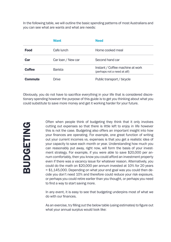In the following table, we will outline the basic spending patterns of most Australians and you can see what are wants and what are needs:

|                | Want               | <b>Need</b>                                                      |  |
|----------------|--------------------|------------------------------------------------------------------|--|
| <b>Food</b>    | Cafe lunch         | Home cooked meal                                                 |  |
| Car            | Car loan / New car | Second hand car                                                  |  |
| <b>Coffee</b>  | Barista            | Instant / Coffee machine at work<br>(perhaps not a need at all!) |  |
| <b>Commute</b> | Drive              | Public transport / bicycle                                       |  |

Obviously, you do not have to sacrifice everything in your life that is considered discretionary spending however the purpose of this guide is to get you thinking about what you could substitute to save more money and get it working harder for your future.

Often when people think of budgeting they think that it only involves cutting out expenses so that there is little left to enjoy in life however this is not the case. Budgeting also offers an important insight into how your finances are operating. For example, one great function of writing out your current incomes vs. expenses is that you get a realistic idea of your capacity to save each month or year. Understanding how much you can reasonably put away, right now, will form the basis of your investment strategy. For example, if you were able to save \$20,000 per annum comfortably, then you know you could afford an investment property even if there was a vacancy issue for whatever reason. Alternatively, you could do the math on \$20,000 per annum invested at 10% for 20 years  $= $1,145,000$ . Depending on what your end goal was you could then decide you don't need 10% and therefore could reduce your risk exposure, or perhaps you could retire earlier than you thought, or perhaps you need to find a way to start saving more.

In any event, it is easy to see that budgeting underpins most of what we do with our finances.

As an exercise, try filling out the below table (using estimates) to figure out what your annual surplus would look like: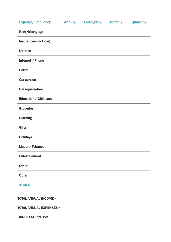| <b>Expense/Frequency</b> | <b>Weekly</b> | <b>Fortnightly</b> | <b>Monthly</b> | <b>Quarterly</b> |
|--------------------------|---------------|--------------------|----------------|------------------|
| Rent/Mortgage            |               |                    |                |                  |
| Insurances (incl. car)   |               |                    |                |                  |
| <b>Utilities</b>         |               |                    |                |                  |
| Internet / Phone         |               |                    |                |                  |
| <b>Petrol</b>            |               |                    |                |                  |
| <b>Car service</b>       |               |                    |                |                  |
| <b>Car registration</b>  |               |                    |                |                  |
| Education / Childcare    |               |                    |                |                  |
| <b>Groceries</b>         |               |                    |                |                  |
| <b>Clothing</b>          |               |                    |                |                  |
| <b>Gifts</b>             |               |                    |                |                  |
| <b>Holidays</b>          |               |                    |                |                  |
| Liquor / Tobacco         |               |                    |                |                  |
| <b>Entertainment</b>     |               |                    |                |                  |
| <b>Other</b>             |               |                    |                |                  |
| <b>Other</b>             |               |                    |                |                  |
| <b>TOTALS</b>            |               |                    |                |                  |
|                          |               |                    |                |                  |

TOTAL ANNUAL INCOME =

TOTAL ANNUAL EXPENSES =

BUDGET SURPLUS=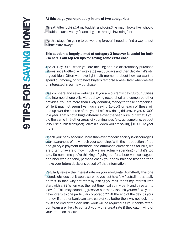## At this stage you're probably in one of two categories:

"Great! After looking at my budget, and doing the math, looks like I should "Great! After looking at my budget, and doing the math, look<br>be able to achieve my financial goals through investing"; or

"At this stage I'm going to be working forever! I need to find a way to put B a little extra away"

## This section is largely aimed at category 2 however is useful for both - so here's our top ten tips for saving some extra cash!

The 30 Day Rule - when you are thinking about a discretionary purchase The 30 Day Rule - when you are thinking about a discretionary purchase<br>
(shoes, nice bottle of whiskey etc.) wait 30 days and then decide if it's still<br>
1. Steel idea Often we have light bully possessed about have we want a good idea. Often we have light bulb moments about how we want to spend our money, only to have buyer's remorse a week later when we are uninterested in our new purchase.

Use compare and save websites. If you are currently paying your utilities Use compare and save websites. If you are currently paying your utilities and internet/phone bills without having researched and compared other paying the summarized other paying the summarized provides, you are more than likely donating money to these companies. While it may not seem like much, saving 10-20% on each of these will add up over the course of the year. Let's say doing this saves you \$1000 in a year. That's not a huge difference over the year, sure, but what if you did the same in 9 other areas of your finances (e.g. quit smoking, eat out less, use public transport) - all of a sudden you are saving \$10,000 a year morel

Check your bank account. More than ever modern society is discouraging Check your bank account. More than ever modern society is discouraging<br>your awareness of how much your spending. With the introduction of tap<br>and so at the narrow spending and subsessive direct debits for bills we and go style payment methods and automatic direct debits for bills, we are often unaware of how much we are actually spending - until it's too late. So next time you're thinking of going out for a beer with colleagues or dinner with a friend, perhaps check your bank balance first and then make your future decisions based off that information.

Regularly review the interest rate on your mortgage. Admittedly this one Regularly review the interest rate on your mortgage. Admittedly this one<br>sounds obvious but it would surprise you just how few Australians actually<br>the big la fest why not start by solita surpress the case we interest at a do this. In fact, why not start by asking yourself "does my interest rate start with a 3? When was the last time I called my bank and threaten to leave?". This may sound aggressive but then also ask yourself "why do I have loyalty to one particular corporation?" At the end of the day it's your money, if another bank can take care of you better then why not look into it? At the end of the day, little work will be required as your banks retention team are likely to contact you with a great rate if they catch wind of your intention to leave!